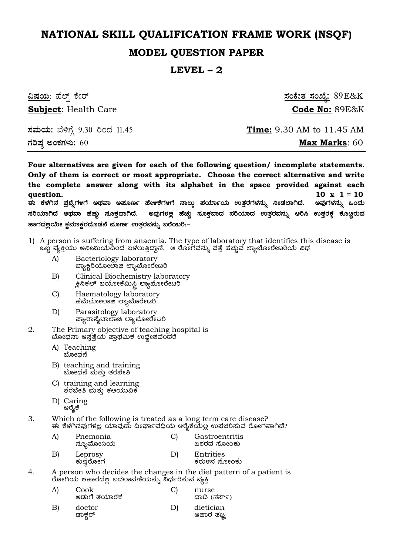# **NATIONAL SKILL QUALIFICATION FRAME WORK (NSQF)**

# **MODEL QUESTION PAPER**

## **LEVEL – 2**

| <u>ವಿಷಯ</u> : ಹೆಲ್ತ್ ಕೇರ್            | <u>ಸಂಕೇತ ಸಂಖ್ಯೆ:</u> 89E&K       |
|--------------------------------------|----------------------------------|
| <b>Subject: Health Care</b>          | Code No: 89E&K                   |
| <u>ಸಮಯ:</u> ಬೆಳಿಗ್ಗೆ 9.30 ರಿಂದ 11.45 | <b>Time:</b> 9.30 AM to 11.45 AM |
| <u>ಗರಿಷ್ಠ ಅಂಕಗಳು:</u> 60             | <b>Max Marks: 60</b>             |

**Four alternatives are given for each of the following question/ incomplete statements. Only of them is correct or most appropriate. Choose the correct alternative and write the complete answer along with its alphabet in the space provided against each question. 10 x 1 = 10 F PɼÀV£À ¥Àæ±ÉßUÀ½UÉ CxÀªÁ C¥ÀÆtð ºÉýPÉUÀ½UÉ £Á®ÄÌ ¥ÀAiÀiÁðAiÀÄ GvÀÛgÀUÀ¼À£ÀÄß ¤ÃqÀ¯ÁVzÉ. CªÀÅUÀ¼À£ÀÄß MAzÀÄ**   $\vec{\bm{\kappa}}$ ದಿಯಾಗಿದೆ ಅಥವಾ ಹೆಚ್ಚು ಸೂಕ್ತವಾಗಿದೆ. ಅವುಗಳಲ್ಲ ಹೆಚ್ಚು ಸೂಕ್ತವಾದ ಸರಿಯಾದ ಉತ್ತರವನ್ನು ಆರಿಸಿ ಉತ್ತರಕ್ತೆ ಕೊ<u>ೞ್</u>ಣರುವ  $\bullet$ ಹಾಗದಲ್ಲಯೇ ಕಮಾಕರದೊಡನೆ ಹೂರ್ಣ ಉತರವನ್ನು ಖರೆಯಿರಿ:-

- 1) A person is suffering from anaemia. The type of laboratory that identifies this disease is ಒಖ್ಟೆ ವ್ಯಕ್ತಿಯು ಅನೀಮಿಯದಿಂದ ಬಳಲುತ್ತಿದ್ದಾನೆ. ಆ ರೋಗವನ್ನು ಪತ್ತೆ ಹಚ್ಚುವ ಲ್ಯಾಬೋರೇಟರಿಯ ವಿಧ
	- A) Bacteriology laboratory æ್ಯಾಕ್ಷಿರಿಯೋಲಾಜಿ ಲ್ಯಾಬೋರೇಟರಿ
	- B) Clinical Biochemistry laboratory ್ಲಕಿನಿಕಲ್ ಬಯೋಕೆಮಿಸ್ಟ್ಲಿಲ್ಯಾಬೋರೇಟರಿ
	- C) Haematology laboratory ಹೆಮೆಟೋಲಾಜಿ ಲ್ಯಾಬೊರೇಟರಿ
	- D) Parasitology laboratory ಪ್ಯಾರಾಸೈದಾಲಾಜಿ ಲ್ಯಾಬೋರೇಟರಿ
- 2. The Primary objective of teaching hospital is ಬೋಧನಾ ಆಸ್ಪತ್ರೆಯ ಪ್ರಾಥಮಿಕ ಉದ್ದೇಶವೆಂದರೆ
	- A) Teaching ಬೋಧನೆ
	- B) teaching and training ಬೋಧನೆ ಮತ್ತು ತರಬೇತಿ
	- C) training and learning ತರಬೇತಿ ಮತ್ತು ಕ೮ಯುವಿಕೆ
	- D) Caring ಆರೈಕೆ
- 3. Which of the following is treated as a long term care disease? F PɼÀV£ÀªÀÅUÀ¼À°è AiÀiÁªÀÅzÀÄ ¢ÃWÁðªÀ¢üAiÀÄ DgÉÊPÉAiÀİè G¥ÀZÀj¸ÀĪÀ gÉÆÃUÀªÁVzÉ?
	- A) Pnemonia C) Gastroentritis ನ್ಯೂಮೋನಿಯ
	- B) Leprosy D) Entrities ಕರುಳನ ಸೋಂಕು
- 4. A person who decides the changes in the diet pattern of a patient is ರೋಗಿಯ ಆಹಾರದ<u>ಲ್ಲ</u> ಬದಲಾವಣೆಯನ್ನು ನಿರ್ಧರಿಸುವ ವ್ಯಕ್ತಿ

| A) | Cook<br>ಅಡುಗೆ ತಯಾರಕ |    | nurse<br>ದಾದಿ (ನರ್ಸ್)  |
|----|---------------------|----|------------------------|
| B) | doctor<br>ಡಾಕ್ಷರ್   | D) | dietician<br>ಆಹಾರ ತಜ್ಞ |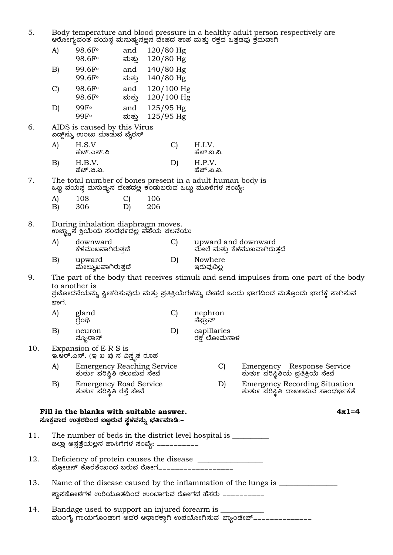| 5.  |                                              | ಆರೋಗ್ಯವಂತ ವಯಸ್ಥ ಮನುಷ್ಯನಲ್ಲನ ದೇಹದ ತಾಪ ಮತ್ತು ರಕ್ತದ ಒತ್ತಡವು ಕ್ರಮವಾಗಿ                                                                      |                     |            |                              |                            |  | Body temperature and blood pressure in a healthy adult person respectively are                                                                                                           |
|-----|----------------------------------------------|----------------------------------------------------------------------------------------------------------------------------------------|---------------------|------------|------------------------------|----------------------------|--|------------------------------------------------------------------------------------------------------------------------------------------------------------------------------------------|
|     | A)                                           | 98.6F <sup>o</sup><br>98.6F <sup>o</sup>                                                                                               | and<br>ಮತ್ತು        |            | $120/80$ Hg<br>$120/80$ Hg   |                            |  |                                                                                                                                                                                          |
|     | B)                                           | 99.6F <sup>o</sup><br>99.6F <sub>o</sub>                                                                                               | and<br>ಮತ್ತು        |            | 140/80 Hg<br>$140/80$ Hg     |                            |  |                                                                                                                                                                                          |
|     | $\mathcal{C}$                                | 98.6F <sup>o</sup><br>98.6F <sup>o</sup>                                                                                               | and<br>ಮತ್ತು        |            | $120/100$ Hg<br>$120/100$ Hg |                            |  |                                                                                                                                                                                          |
|     | D)                                           | 99F <sub>°</sub><br>99F <sup>o</sup>                                                                                                   | and<br>ಮತ್ತು        |            | $125/95$ Hg<br>125/95 Hg     |                            |  |                                                                                                                                                                                          |
| 6.  |                                              | AIDS is caused by this Virus<br>ಏಡ್ಸ್'ನ್ನು ಉಂಟು ಮಾಡುವ ವೈರಸ್                                                                            |                     |            |                              |                            |  |                                                                                                                                                                                          |
|     | A)                                           | H.S.V<br>ಹೆಚ್.ಎಸ್.ವಿ                                                                                                                   |                     |            | $\mathcal{C}$                | H.I.V.<br>ಹೆಚ್.ಐ.ವಿ.       |  |                                                                                                                                                                                          |
|     | B)                                           | H.B.V.<br>ಹೆಚ್.ಙ.ವಿ.                                                                                                                   |                     |            | D)                           | H.P.V.<br>ಹೆಚ್.ಪಿ.ವಿ.      |  |                                                                                                                                                                                          |
| 7.  |                                              | The total number of bones present in a adult human body is<br>ಒಬ್ಬ ವಯಸ್ಥ ಮನುಷ್ಯನ ದೇಹದಲ್ಲ ಕಂಡುಬರುವ ಒಟ್ಟು ಮೂಳೆಗಳ ಸಂಖ್ಯೆ:                 |                     |            |                              |                            |  |                                                                                                                                                                                          |
|     | A)<br>B)                                     | 108<br>306                                                                                                                             | $\mathcal{C}$<br>D) | 106<br>206 |                              |                            |  |                                                                                                                                                                                          |
| 8.  |                                              | During inhalation diaphragm moves.<br>ಉಚ್ಛ್ವಾಸ ಕ್ರಿಯೆಯ ಸಂದರ್ಭದಲ್ಲ ವಪೆಯ ಚಲನೆಯು                                                          |                     |            |                              |                            |  |                                                                                                                                                                                          |
|     | A)                                           | downward<br>ಕೆಳಮುಖವಾಗಿರುತ್ತದೆ                                                                                                          |                     |            | $\mathcal{C}$                |                            |  | upward and downward<br>ಮೇಲೆ ಮತ್ತು ಕೆಳಮುಖವಾಗಿರುತ್ತದೆ                                                                                                                                      |
|     | B)                                           | upward<br>ಮೇಲ್ಶುಖವಾಗಿರುತ್ತದೆ                                                                                                           |                     |            | D)                           | Nowhere<br>ಇರುವುದಿಲ್ಲ      |  |                                                                                                                                                                                          |
| 9.  | ಭಾಗ.                                         | to another is                                                                                                                          |                     |            |                              |                            |  | The part of the body that receives stimuli and send impulses from one part of the body<br>ಪ್ರಚೋದನೆಯನ್ನು ಸ್ವೀಕರಿಸುವುದು ಮತ್ತು ಪ್ರತಿಕ್ರಿಯೆಗಳನ್ನು ದೇಹದ ಒಂದು ಭಾಗದಿಂದ ಮತ್ತೊಂದು ಭಾಗಕ್ಕೆ ಸಾಗಿಸುವ |
|     | A)                                           | gland<br>ரிஷி                                                                                                                          |                     |            | $\mathcal{C}$                | nephron<br>ನೆಫ್ರಾನ್        |  |                                                                                                                                                                                          |
|     | B)                                           | neuron<br>ನ್ಯೂರಾನ್                                                                                                                     |                     |            | D)                           | capillaries<br>ರಕ್ತ ಲೋಮನಾಳ |  |                                                                                                                                                                                          |
| 10. |                                              | Expansion of E R S is<br>ಇ.ಆರ್.ಎಸ್. (ಇ ಖ ಖ) ನ ವಿಸ್ತೃತ ರೂಪ                                                                              |                     |            |                              |                            |  |                                                                                                                                                                                          |
|     | A)                                           | <b>Emergency Reaching Service</b><br>ತುರ್ತು ಪರಿಸ್ಥಿತಿ ತಲುಪುವ ಸೇವೆ                                                                      |                     |            |                              | C)                         |  | Emergency Response Service<br>ತುರ್ತು ಪರಿಸ್ಥಿತಿಯ ಪ್ರತಿಕ್ರಿಯೆ ಸೇವೆ                                                                                                                         |
|     | $\vert B \vert$                              | <b>Emergency Road Service</b><br>ತುರ್ತು ಪರಿಸ್ಥಿತಿ ರಸ್ತೆ ಸೇವೆ                                                                           |                     |            |                              | D)                         |  | <b>Emergency Recording Situation</b><br>ತುರ್ತು ಪರಿಸ್ಥಿತಿ ದಾಖಅಸುವ ಸಾಂಧರ್ಭಿಕತೆ                                                                                                             |
|     |                                              | Fill in the blanks with suitable answer.<br>ಸೂಕ್ತವಾದ ಉತ್ತರದಿಂದ ಜಿಟ್ಟರುವ ಸ್ಥಳವನ್ನು ಭರ್ತಿಮಾಡಿ:–                                          |                     |            |                              |                            |  | $4x1=4$                                                                                                                                                                                  |
| 11. |                                              | The number of beds in the district level hospital is ____________________________<br>ಜಿಲ್ಲಾ ಆಸ್ಪತ್ರೆಯಲ್ಲನ ಹಾಸಿಗೆಗಳ ಸಂಖ್ಯೆ: ___________ |                     |            |                              |                            |  |                                                                                                                                                                                          |
| 12. | ಪ್ರೋೞನ್ ಕೊರತೆಯಂದ ಬರುವ ರೋಗ___________________ |                                                                                                                                        |                     |            |                              |                            |  |                                                                                                                                                                                          |
| 13. |                                              | ಶ್ವಾಸಕೋಶಗಳ ಉರಿಯೂತದಿಂದ ಉಂಬಾಗುವ ರೋಗದ ಹೆಸರು __________                                                                                    |                     |            |                              |                            |  | Name of the disease caused by the inflammation of the lungs is _________________                                                                                                         |
| 14. |                                              |                                                                                                                                        |                     |            |                              |                            |  |                                                                                                                                                                                          |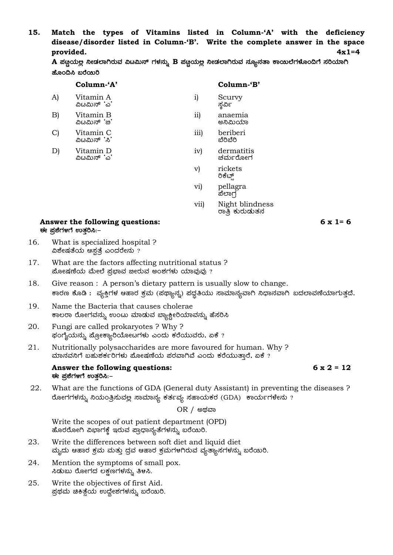**15. Match the types of Vitamins listed in Column-'A' with the deficiency disease/disorder listed in Column-'B'. Write the complete answer in the space provided. 4x1=4** 

|                 |  |  |  | ${\bf A}$ ಪಣ್ಣಯಲ್ಲ ನೀಡಲಾಗಿರುವ ವಿಟಮಿನ್ ಗಳನ್ನು $\bf B$ ಪಣ್ಣಯಲ್ಲ ನೀಡಲಾಗಿರುವ ನ್ಯೂನತಾ ಕಾಯಿಲೆಗಳೊಂದಿಗೆ ಸರಿಯಾಗಿ |  |
|-----------------|--|--|--|---------------------------------------------------------------------------------------------------------|--|
| ಹೊಂದಿಸಿ ಬರೆಯಿರಿ |  |  |  |                                                                                                         |  |

v) rickets ರಿಕೆಟ್ಸ್ vi) pellagra

|    | Column-'A'                |           | Column-'B'            |
|----|---------------------------|-----------|-----------------------|
| A) | Vitamin A<br>ವಿೞಮಿನ್ 'ಎ'  | 1)        | Scurvy<br>ಸ್ತರ್ವಿ     |
| B) | Vitamin B<br>ವಿಟಮಿನ್ 'ಙ'  | $\rm ii)$ | anaemia<br>ಅನಿಮಿಯಾ    |
| C) | Vitamin C<br>ವಿಟಮಿನ್ 'ಸಿ' | 111)      | beriberi<br>ಬೆರಿಬೆರಿ  |
| D١ | Vitamin D<br>ವಿೞಮಿನ್ 'ಎ'  | iv)       | dermatitis<br>ಚರ್ಮರೋಗ |

ಪೆಲಾಗ vii) Night blindness ರಾತ್ರಿ ಕುರುಡುತನ

### **Answer the following questions: 6 x 1= 6 ಕ**e ಪ್ರಶೆಗಳಗೆ ಉತ್ತರಿಸಿ:–

- 16. What is specialized hospital ? ವಿಶೇಷತೆಯ ಆಸ್ಪತ್ರೆ ಎಂದರೇನು ?
- 17. What are the factors affecting nutritional status ? ಹೋಷಣೆಯ ಮೇಲೆ ಪ್ರಭಾವ ಜೀರುವ ಅಂಶಗಳು ಯಾವುವು ?
- 18. Give reason : A person's dietary pattern is usually slow to change. ಕಾರಣ ಕೊಡಿ : ವ್ಯಕ್ತಿಗಳ ಆಹಾರ ಕ್ರಮ (ಪಥ್ಯಾನ್ನ) ಪದ್ಧತಿಯು ಸಾಮಾನ್ಯವಾಗಿ ನಿಧಾನವಾಗಿ ಬದಲಾವಣೆಯಾಗುತ್ತದೆ.
- 19. Name the Bacteria that causes cholerae ಕಾಲರಾ ರೋಗವನ್ನು ಉಂಟು ಮಾಡುವ ಬ್ಯಾಕ್ಟೀರಿಯಾವನ್ನು ಹೆಸರಿಸಿ
- 20. Fungi are called prokaryotes ? Why ? ಫಂಗೈಯನ್ನು ಪ್ರೋಕ್ಯಾರಿಯೋಟಗಳು ಎಂದು ಕರೆಯುವರು, ಏಕೆ ?
- 21. Nutritionally polysaccharides are more favoured for human. Why ? ಮಾನವನಿಗೆ ಬಹುಶರ್ಕರಿಗಳು ಮೋಷಣೆಯ ಪರವಾಗಿವೆ ಎಂದು ಕರೆಯುತ್ತಾರೆ, ಏಕೆ ?

#### **Answer the following questions: 6 x 2 = 12 ಕ**e ಪ್ರಶೆಗಳಗೆ ಉತ್ತರಿಸಿ:–

22. What are the functions of GDA (General duty Assistant) in preventing the diseases ? ರೋಗಗಳನ್ನು ನಿಯಂತ್ರಿಸುವಲ್ಲ ಸಾಮಾನ್ಯ ಕರ್ತವ್ಯ ಸಹಾಯಕರ (GDA) ಕಾರ್ಯಗಳೇನು ?

 $OR / @$ ಥವಾ

Write the scopes of out patient department (OPD) ಹೊರರೋಗಿ ವಿಭಾಗಕ್ಕೆ ಇರುವ ಪ್ರಾಧಾನ್ಯತೆಗಳನ್ನು ಬರೆಯಿರಿ.

- 23. Write the differences between soft diet and liquid diet ಮೃದು ಆಹಾರ ಕ್ರಮ ಮತ್ತು ದ್ರವ ಆಹಾರ ಕ್ರಮಗಳಗಿರುವ ವ್ಯತ್ಯಾಸಗಳನ್ನು ಬರೆಯಿರಿ.
- 24. Mention the symptoms of small pox. ಸಿಡುಬು ರೋಗದ ಲಕ್ಷಣಗಳನ್ನು ತಿಳಸಿ.
- 25. Write the objectives of first Aid. ್ಪಪಥಮ ಚಿಕಿತ್ಸೆಯ ಉದ್ದೇಶಗಳನ್ನು ಬರೆಯಿರಿ.